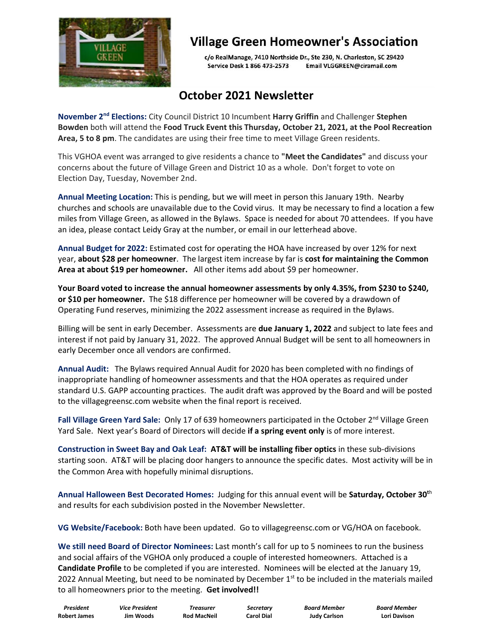

## **Village Green Homeowner's Association**

c/o RealManage, 7410 Northside Dr., Ste 230, N. Charleston, SC 29420 Service Desk 1 866 473-2573 Email VLGGREEN@ciramail.com

## **October 2021 Newsletter**

**November 2nd Elections:** City Council District 10 Incumbent **Harry Griffin** and Challenger **Stephen Bowden** both will attend the **Food Truck Event this Thursday, October 21, 2021, at the Pool Recreation Area, 5 to 8 pm**. The candidates are using their free time to meet Village Green residents.

This VGHOA event was arranged to give residents a chance to **"Meet the Candidates"** and discuss your concerns about the future of Village Green and District 10 as a whole. Don't forget to vote on Election Day, Tuesday, November 2nd.

**Annual Meeting Location:** This is pending, but we will meet in person this January 19th. Nearby churches and schools are unavailable due to the Covid virus. It may be necessary to find a location a few miles from Village Green, as allowed in the Bylaws. Space is needed for about 70 attendees. If you have an idea, please contact Leidy Gray at the number, or email in our letterhead above.

**Annual Budget for 2022:** Estimated cost for operating the HOA have increased by over 12% for next year, **about \$28 per homeowner**. The largest item increase by far is **cost for maintaining the Common Area at about \$19 per homeowner.** All other items add about \$9 per homeowner.

**Your Board voted to increase the annual homeowner assessments by only 4.35%, from \$230 to \$240, or \$10 per homeowner.** The \$18 difference per homeowner will be covered by a drawdown of Operating Fund reserves, minimizing the 2022 assessment increase as required in the Bylaws.

Billing will be sent in early December. Assessments are **due January 1, 2022** and subject to late fees and interest if not paid by January 31, 2022. The approved Annual Budget will be sent to all homeowners in early December once all vendors are confirmed.

**Annual Audit:** The Bylaws required Annual Audit for 2020 has been completed with no findings of inappropriate handling of homeowner assessments and that the HOA operates as required under standard U.S. GAPP accounting practices. The audit draft was approved by the Board and will be posted to the villagegreensc.com website when the final report is received.

Fall Village Green Yard Sale: Only 17 of 639 homeowners participated in the October 2<sup>nd</sup> Village Green Yard Sale. Next year's Board of Directors will decide **if a spring event only** is of more interest.

**Construction in Sweet Bay and Oak Leaf: AT&T will be installing fiber optics** in these sub-divisions starting soon. AT&T will be placing door hangers to announce the specific dates. Most activity will be in the Common Area with hopefully minimal disruptions.

**Annual Halloween Best Decorated Homes:** Judging for this annual event will be **Saturday, October 30<sup>t</sup>**<sup>h</sup> and results for each subdivision posted in the November Newsletter.

**VG Website/Facebook:** Both have been updated. Go to villagegreensc.com or VG/HOA on facebook.

**We still need Board of Director Nominees:** Last month's call for up to 5 nominees to run the business and social affairs of the VGHOA only produced a couple of interested homeowners. Attached is a **Candidate Profile** to be completed if you are interested. Nominees will be elected at the January 19, 2022 Annual Meeting, but need to be nominated by December 1<sup>st</sup> to be included in the materials mailed to all homeowners prior to the meeting. **Get involved!!**